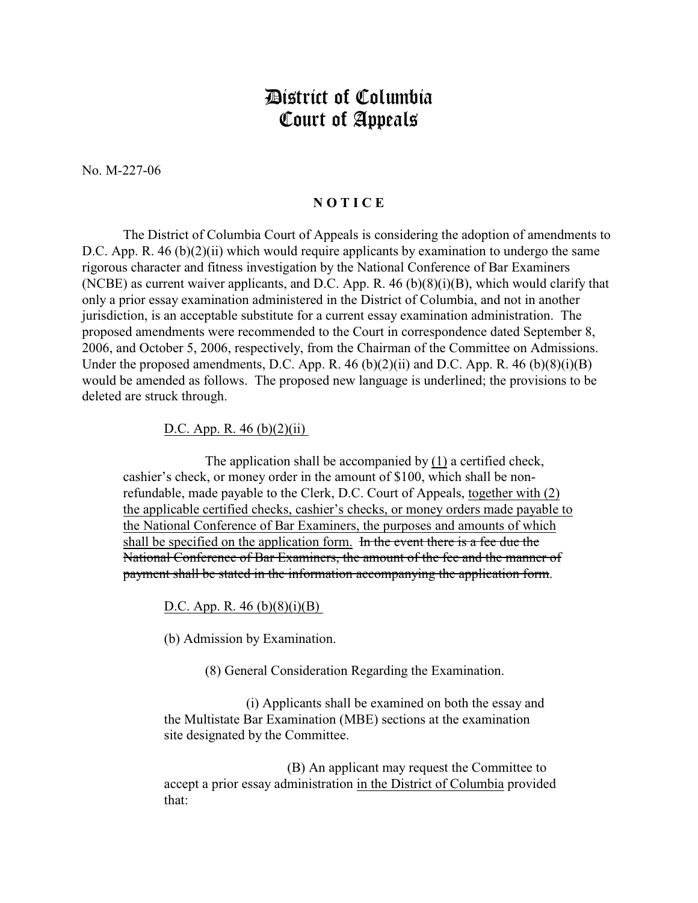## District of Columbia Court of Appeals

No. M-227-06

## **N O T I C E**

The District of Columbia Court of Appeals is considering the adoption of amendments to D.C. App. R. 46 (b)(2)(ii) which would require applicants by examination to undergo the same rigorous character and fitness investigation by the National Conference of Bar Examiners (NCBE) as current waiver applicants, and D.C. App. R. 46 (b)(8)(i)(B), which would clarify that only a prior essay examination administered in the District of Columbia, and not in another jurisdiction, is an acceptable substitute for a current essay examination administration. The proposed amendments were recommended to the Court in correspondence dated September 8, 2006, and October 5, 2006, respectively, from the Chairman of the Committee on Admissions. Under the proposed amendments, D.C. App. R.  $46 \text{ (b)}(2)$ (ii) and D.C. App. R.  $46 \text{ (b)}(8)$ (i)(B) would be amended as follows. The proposed new language is underlined; the provisions to be deleted are struck through.

## D.C. App. R.  $46$  (b)(2)(ii)

The application shall be accompanied by (1) a certified check, cashier's check, or money order in the amount of \$100, which shall be nonrefundable, made payable to the Clerk, D.C. Court of Appeals, together with (2) the applicable certified checks, cashier's checks, or money orders made payable to the National Conference of Bar Examiners, the purposes and amounts of which shall be specified on the application form. In the event there is a fee due the National Conference of Bar Examiners, the amount of the fee and the manner of payment shall be stated in the information accompanying the application form.

D.C. App. R.  $46$  (b)(8)(i)(B)

(b) Admission by Examination.

(8) General Consideration Regarding the Examination.

(i) Applicants shall be examined on both the essay and the Multistate Bar Examination (MBE) sections at the examination site designated by the Committee.

(B) An applicant may request the Committee to accept a prior essay administration in the District of Columbia provided that: